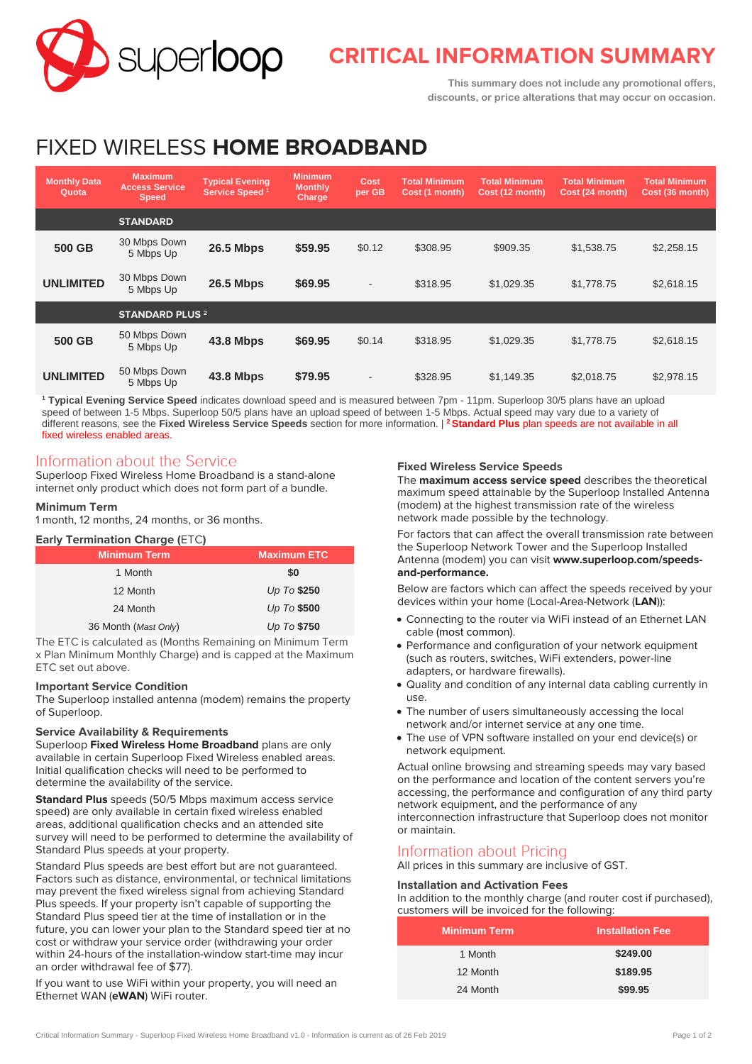

# **CRITICAL INFORMATION SUMMARY**

**This summary does not include any promotional offers, discounts, or price alterations that may occur on occasion.**

# FIXED WIRELESS **HOME BROADBAND**

| <b>Monthly Data</b><br>Quota | <b>Maximum</b><br><b>Access Service</b><br><b>Speed</b> | <b>Typical Evening</b><br>Service Speed <sup>1</sup> | <b>Minimum</b><br><b>Monthly</b><br>Charge | Cost<br>per GB           | <b>Total Minimum</b><br>Cost (1 month) | <b>Total Minimum</b><br>Cost (12 month) | <b>Total Minimum</b><br>Cost (24 month) | <b>Total Minimum</b><br>Cost (36 month) |
|------------------------------|---------------------------------------------------------|------------------------------------------------------|--------------------------------------------|--------------------------|----------------------------------------|-----------------------------------------|-----------------------------------------|-----------------------------------------|
|                              | <b>STANDARD</b>                                         |                                                      |                                            |                          |                                        |                                         |                                         |                                         |
| 500 GB                       | 30 Mbps Down<br>5 Mbps Up                               | <b>26.5 Mbps</b>                                     | \$59.95                                    | \$0.12                   | \$308.95                               | \$909.35                                | \$1,538.75                              | \$2,258.15                              |
| <b>UNLIMITED</b>             | 30 Mbps Down<br>5 Mbps Up                               | <b>26.5 Mbps</b>                                     | \$69.95                                    | $\overline{\phantom{a}}$ | \$318.95                               | \$1,029.35                              | \$1,778.75                              | \$2,618.15                              |
|                              | <b>STANDARD PLUS 2</b>                                  |                                                      |                                            |                          |                                        |                                         |                                         |                                         |
| 500 GB                       | 50 Mbps Down<br>5 Mbps Up                               | <b>43.8 Mbps</b>                                     | \$69.95                                    | \$0.14                   | \$318.95                               | \$1,029.35                              | \$1,778.75                              | \$2,618.15                              |
| <b>UNLIMITED</b>             | 50 Mbps Down<br>5 Mbps Up                               | <b>43.8 Mbps</b>                                     | \$79.95                                    | $\overline{\phantom{a}}$ | \$328.95                               | \$1,149.35                              | \$2,018.75                              | \$2,978.15                              |

**<sup>1</sup> Typical Evening Service Speed** indicates download speed and is measured between 7pm - 11pm. Superloop 30/5 plans have an upload speed of between 1-5 Mbps. Superloop 50/5 plans have an upload speed of between 1-5 Mbps. Actual speed may vary due to a variety of different reasons, see the **Fixed Wireless Service Speeds** section for more information. | **<sup>2</sup>Standard Plus** plan speeds are not available in all fixed wireless enabled areas.

## Information about the Service

Superloop Fixed Wireless Home Broadband is a stand-alone internet only product which does not form part of a bundle.

#### **Minimum Term**

1 month, 12 months, 24 months, or 36 months.

#### **Early Termination Charge (**ETC**)**

| <b>Minimum Term</b>  | <b>Maximum ETC</b> |
|----------------------|--------------------|
| 1 Month              | \$0                |
| 12 Month             | Up To \$250        |
| 24 Month             | Up To \$500        |
| 36 Month (Mast Only) | Up To \$750        |

The ETC is calculated as (Months Remaining on Minimum Term x Plan Minimum Monthly Charge) and is capped at the Maximum ETC set out above.

#### **Important Service Condition**

The Superloop installed antenna (modem) remains the property of Superloop.

#### **Service Availability & Requirements**

Superloop **Fixed Wireless Home Broadband** plans are only available in certain Superloop Fixed Wireless enabled areas. Initial qualification checks will need to be performed to determine the availability of the service.

**Standard Plus** speeds (50/5 Mbps maximum access service speed) are only available in certain fixed wireless enabled areas, additional qualification checks and an attended site survey will need to be performed to determine the availability of Standard Plus speeds at your property.

Standard Plus speeds are best effort but are not guaranteed. Factors such as distance, environmental, or technical limitations may prevent the fixed wireless signal from achieving Standard Plus speeds. If your property isn't capable of supporting the Standard Plus speed tier at the time of installation or in the future, you can lower your plan to the Standard speed tier at no cost or withdraw your service order (withdrawing your order within 24-hours of the installation-window start-time may incur an order withdrawal fee of \$77).

If you want to use WiFi within your property, you will need an Ethernet WAN (**eWAN**) WiFi router.

#### **Fixed Wireless Service Speeds**

The **maximum access service speed** describes the theoretical maximum speed attainable by the Superloop Installed Antenna (modem) at the highest transmission rate of the wireless network made possible by the technology.

For factors that can affect the overall transmission rate between the Superloop Network Tower and the Superloop Installed Antenna (modem) you can visit **[www.superloop.com/speeds](https://www.superloop.com/speeds-and-performance.html)[and-performance.](https://www.superloop.com/speeds-and-performance.html)**

Below are factors which can affect the speeds received by your devices within your home (Local-Area-Network (**LAN**)):

- Connecting to the router via WiFi instead of an Ethernet LAN cable (most common).
- Performance and configuration of your network equipment (such as routers, switches, WiFi extenders, power-line adapters, or hardware firewalls).
- Quality and condition of any internal data cabling currently in use.
- The number of users simultaneously accessing the local network and/or internet service at any one time.
- The use of VPN software installed on your end device(s) or network equipment.

Actual online browsing and streaming speeds may vary based on the performance and location of the content servers you're accessing, the performance and configuration of any third party network equipment, and the performance of any interconnection infrastructure that Superloop does not monitor or maintain.

### Information about Pricing

All prices in this summary are inclusive of GST.

#### **Installation and Activation Fees**

In addition to the monthly charge (and router cost if purchased), customers will be invoiced for the following:

| <b>Minimum Term</b> | <b>Installation Fee</b> |
|---------------------|-------------------------|
| 1 Month             | \$249.00                |
| 12 Month            | \$189.95                |
| 24 Month            | \$99.95                 |